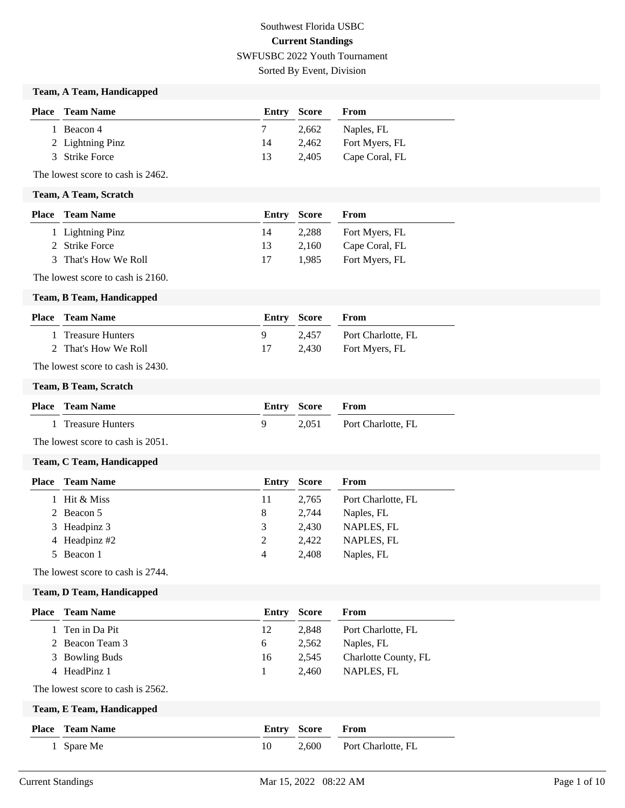## Southwest Florida USBC **Current Standings** SWFUSBC 2022 Youth Tournament Sorted By Event, Division

### **Team, A Team, Handicapped**

| <b>Place</b> Team Name | <b>Entry Score</b> |       | From           |
|------------------------|--------------------|-------|----------------|
| 1 Beacon 4             |                    | 2.662 | Naples, FL     |
| 2 Lightning Pinz       | 14                 | 2.462 | Fort Myers, FL |
| 3 Strike Force         | 13                 | 2.405 | Cape Coral, FL |

The lowest score to cash is 2462.

#### **Team, A Team, Scratch**

| <b>Place</b> Team Name | <b>Entry Score</b> |       | From           |
|------------------------|--------------------|-------|----------------|
| 1 Lightning Pinz       | 14                 | 2,288 | Fort Myers, FL |
| 2 Strike Force         | 13                 | 2.160 | Cape Coral, FL |
| 3 That's How We Roll   | 17                 | 1.985 | Fort Myers, FL |

The lowest score to cash is 2160.

#### **Team, B Team, Handicapped**

| <b>Place</b> Team Name | <b>Entry Score</b> |       | <b>From</b>          |
|------------------------|--------------------|-------|----------------------|
| 1 Treasure Hunters     |                    | 2.457 | Port Charlotte, FL   |
| 2 That's How We Roll   |                    |       | 2,430 Fort Myers, FL |

The lowest score to cash is 2430.

#### **Team, B Team, Scratch**

| <b>Place</b> Team Name | <b>Entry Score From</b> |                          |
|------------------------|-------------------------|--------------------------|
| 1 Treasure Hunters     |                         | 2,051 Port Charlotte, FL |

The lowest score to cash is 2051.

#### **Team, C Team, Handicapped**

| <b>Place</b> | <b>Team Name</b> | Entry | Score | From               |
|--------------|------------------|-------|-------|--------------------|
|              | 1 Hit & Miss     | 11    | 2.765 | Port Charlotte, FL |
|              | 2 Beacon 5       | 8     | 2.744 | Naples, FL         |
|              | 3 Headpinz 3     | 3     | 2.430 | NAPLES, FL         |
|              | 4 Headpinz #2    | 2     | 2.422 | NAPLES, FL         |
|              | 5 Beacon 1       | 4     | 2.408 | Naples, FL         |

The lowest score to cash is 2744.

#### **Team, D Team, Handicapped**

| <b>Place</b> | Team Name                         | Entry | Score        | From                 |
|--------------|-----------------------------------|-------|--------------|----------------------|
|              | 1 Ten in Da Pit                   | 12    | 2,848        | Port Charlotte, FL   |
|              | 2 Beacon Team 3                   | 6     | 2,562        | Naples, FL           |
|              | 3 Bowling Buds                    | 16    | 2,545        | Charlotte County, FL |
|              | 4 HeadPinz 1                      |       | 2,460        | NAPLES, FL           |
|              | The lowest score to cash is 2562. |       |              |                      |
|              | Team, E Team, Handicapped         |       |              |                      |
| <b>Place</b> | <b>Team Name</b>                  | Entry | <b>Score</b> | From                 |
|              | 1 Spare Me                        | 10    | 2,600        | Port Charlotte, FL   |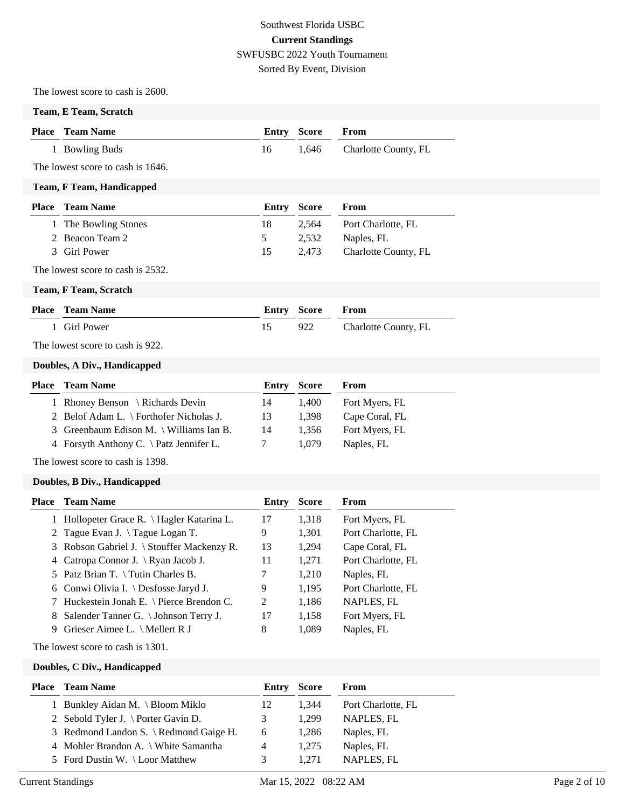## Southwest Florida USBC **Current Standings** SWFUSBC 2022 Youth Tournament Sorted By Event, Division

The lowest score to cash is 2600.

#### **Team, E Team, Scratch**

| <b>Place</b> Team Name | <b>Entry Score From</b> |                            |
|------------------------|-------------------------|----------------------------|
| 1 Bowling Buds         |                         | 1,646 Charlotte County, FL |

The lowest score to cash is 1646.

### **Team, F Team, Handicapped**

| <b>Place – Team Name</b> |               | <b>Entry Score</b> | From                 |
|--------------------------|---------------|--------------------|----------------------|
| 1 The Bowling Stones     | 18            | 2.564              | Port Charlotte, FL   |
| 2 Beacon Team 2          | $\mathcal{D}$ | 2.532              | Naples, FL           |
| 3 Girl Power             | 15            | 2.473              | Charlotte County, FL |

The lowest score to cash is 2532.

**Team, F Team, Scratch**

| <b>Place</b> Team Name | <b>Entry Score From</b> |                      |
|------------------------|-------------------------|----------------------|
| 1 Girl Power           | 922                     | Charlotte County, FL |

The lowest score to cash is 922.

#### **Doubles, A Div., Handicapped**

| <b>Place</b> Team Name                          |    |       | From               |
|-------------------------------------------------|----|-------|--------------------|
| 1 Rhoney Benson \ Richards Devin                | 14 | 1.400 | Fort Myers, FL     |
| 2 Belof Adam L. \ Forthofer Nicholas J.         | 13 | 1.398 | Cape Coral, FL     |
| 3 Greenbaum Edison M. \ Williams Ian B.         | 14 | 1.356 | Fort Myers, FL     |
| 4 Forsyth Anthony C. $\hat{\}$ Patz Jennifer L. |    | 1.079 | Naples, FL         |
|                                                 |    |       | <b>Entry Score</b> |

The lowest score to cash is 1398.

#### **Doubles, B Div., Handicapped**

| Place | <b>Team Name</b>                           | Entry | <b>Score</b> | From               |
|-------|--------------------------------------------|-------|--------------|--------------------|
|       | 1 Hollopeter Grace R. \ Hagler Katarina L. | 17    | 1,318        | Fort Myers, FL     |
|       | 2 Tague Evan J. $\qquad$ Tague Logan T.    | 9     | 1,301        | Port Charlotte, FL |
|       | 3 Robson Gabriel J. \ Stouffer Mackenzy R. | 13    | 1,294        | Cape Coral, FL     |
|       | 4 Catropa Connor J. \ Ryan Jacob J.        | 11    | 1,271        | Port Charlotte, FL |
|       | 5 Patz Brian T. $\int$ Tutin Charles B.    | 7     | 1,210        | Naples, FL         |
|       | 6 Conwi Olivia I. \ Desfosse Jaryd J.      | 9     | 1,195        | Port Charlotte, FL |
|       | 7 Huckestein Jonah E. \ Pierce Brendon C.  | 2     | 1,186        | NAPLES, FL         |
| 8     | Salender Tanner G. \ Johnson Terry J.      | 17    | 1,158        | Fort Myers, FL     |
| 9.    | Grieser Aimee L. $\setminus$ Mellert R J   | 8     | 1,089        | Naples, FL         |

The lowest score to cash is 1301.

**Doubles, C Div., Handicapped**

| <b>Place</b> Team Name                 | Entry | <b>Score</b> | From               |
|----------------------------------------|-------|--------------|--------------------|
| 1 Bunkley Aidan M. \ Bloom Miklo       | 12    | 1.344        | Port Charlotte, FL |
| 2 Sebold Tyler J. \ Porter Gavin D.    | 3     | 1.299        | NAPLES, FL         |
| 3 Redmond Landon S. \ Redmond Gaige H. | 6     | 1.286        | Naples, FL         |
| 4 Mohler Brandon A. \ White Samantha   | 4     | 1.275        | Naples, FL         |
| 5 Ford Dustin W. \Loor Matthew         | 3     | 1.271        | NAPLES, FL         |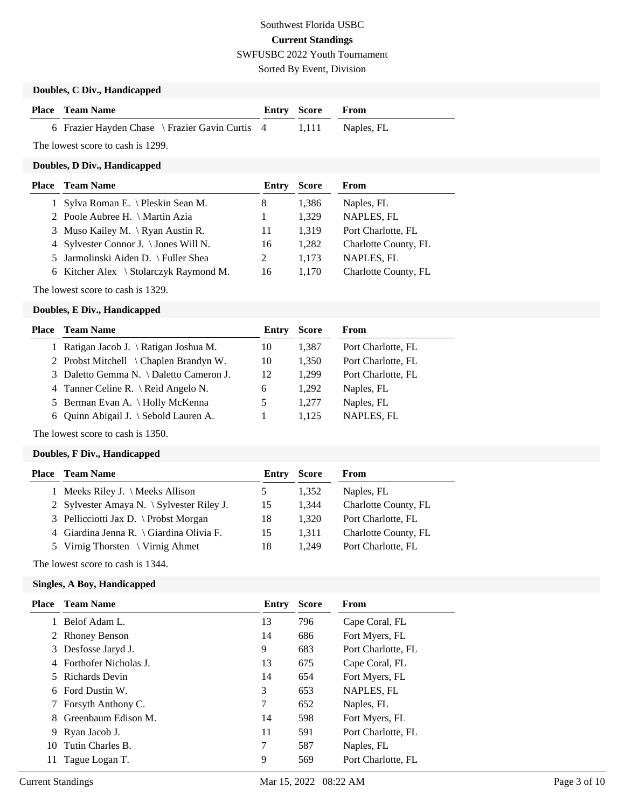Sorted By Event, Division

## **Doubles, C Div., Handicapped**

| <b>Place</b> Team Name                          | <b>Entry Score From</b> |                  |
|-------------------------------------------------|-------------------------|------------------|
| 6 Frazier Hayden Chase \ Frazier Gavin Curtis 4 |                         | 1,111 Naples, FL |

The lowest score to cash is 1299.

## **Doubles, D Div., Handicapped**

| Place Team Name                        | Entry | <b>Score</b> | From                 |
|----------------------------------------|-------|--------------|----------------------|
| 1 Sylva Roman E. \ Pleskin Sean M.     | 8     | 1,386        | Naples, FL           |
| 2 Poole Aubree H. \ Martin Azia        |       | 1.329        | NAPLES, FL           |
| 3 Muso Kailey M. \Ryan Austin R.       | 11    | 1.319        | Port Charlotte, FL   |
| 4 Sylvester Connor J. \ Jones Will N.  | 16    | 1.282        | Charlotte County, FL |
| 5 Jarmolinski Aiden D. \ Fuller Shea   |       | 1.173        | NAPLES, FL           |
| 6 Kitcher Alex \ Stolarczyk Raymond M. | 16    | 1.170        | Charlotte County, FL |
|                                        |       |              |                      |

The lowest score to cash is 1329.

### **Doubles, E Div., Handicapped**

| Place | <b>Team Name</b>                        | Entry | <b>Score</b> | From               |
|-------|-----------------------------------------|-------|--------------|--------------------|
|       | 1 Ratigan Jacob J. \ Ratigan Joshua M.  | 10    | 1,387        | Port Charlotte, FL |
|       | 2 Probst Mitchell \ Chaplen Brandyn W.  | 10    | 1.350        | Port Charlotte, FL |
|       | 3 Daletto Gemma N. \ Daletto Cameron J. | 12    | 1.299        | Port Charlotte, FL |
|       | 4 Tanner Celine R. \ Reid Angelo N.     | 6     | 1.292        | Naples, FL         |
|       | 5 Berman Evan A. \ Holly McKenna        |       | 1.277        | Naples, FL         |
|       | 6 Ouinn Abigail J. \ Sebold Lauren A.   |       | 1.125        | NAPLES, FL         |
|       |                                         |       |              |                    |

The lowest score to cash is 1350.

## **Doubles, F Div., Handicapped**

| Entry                                                                                                                                                                                                                                | <b>Score</b> | From                 |
|--------------------------------------------------------------------------------------------------------------------------------------------------------------------------------------------------------------------------------------|--------------|----------------------|
|                                                                                                                                                                                                                                      | 1.352        | Naples, FL           |
| 15                                                                                                                                                                                                                                   | 1.344        | Charlotte County, FL |
| 18                                                                                                                                                                                                                                   | 1.320        | Port Charlotte, FL   |
| 15                                                                                                                                                                                                                                   | 1.311        | Charlotte County, FL |
| 18                                                                                                                                                                                                                                   | 1.249        | Port Charlotte, FL   |
| <b>Team Name</b><br>1 Meeks Riley J. $\Lambda$ Meeks Allison<br>2 Sylvester Amaya N. $\S$ ylvester Riley J.<br>3 Pellicciotti Jax D. \ Probst Morgan<br>4 Giardina Jenna R. \ Giardina Olivia F.<br>5 Virnig Thorsten \ Virnig Ahmet |              |                      |

The lowest score to cash is 1344.

### **Singles, A Boy, Handicapped**

| Place       | <b>Team Name</b>        | Entry | <b>Score</b> | <b>From</b>        |
|-------------|-------------------------|-------|--------------|--------------------|
|             | Belof Adam L.           | 13    | 796          | Cape Coral, FL     |
| $2^{\circ}$ | <b>Rhoney Benson</b>    | 14    | 686          | Fort Myers, FL     |
| 3           | Desfosse Jaryd J.       | 9     | 683          | Port Charlotte, FL |
|             | 4 Forthofer Nicholas J. | 13    | 675          | Cape Coral, FL     |
|             | 5 Richards Devin        | 14    | 654          | Fort Myers, FL     |
|             | 6 Ford Dustin W.        | 3     | 653          | NAPLES, FL         |
|             | Forsyth Anthony C.      | 7     | 652          | Naples, FL         |
| 8.          | Greenbaum Edison M.     | 14    | 598          | Fort Myers, FL     |
|             | 9 Ryan Jacob J.         | 11    | 591          | Port Charlotte, FL |
| 10          | Tutin Charles B.        | 7     | 587          | Naples, FL         |
| 11          | Tague Logan T.          | 9     | 569          | Port Charlotte, FL |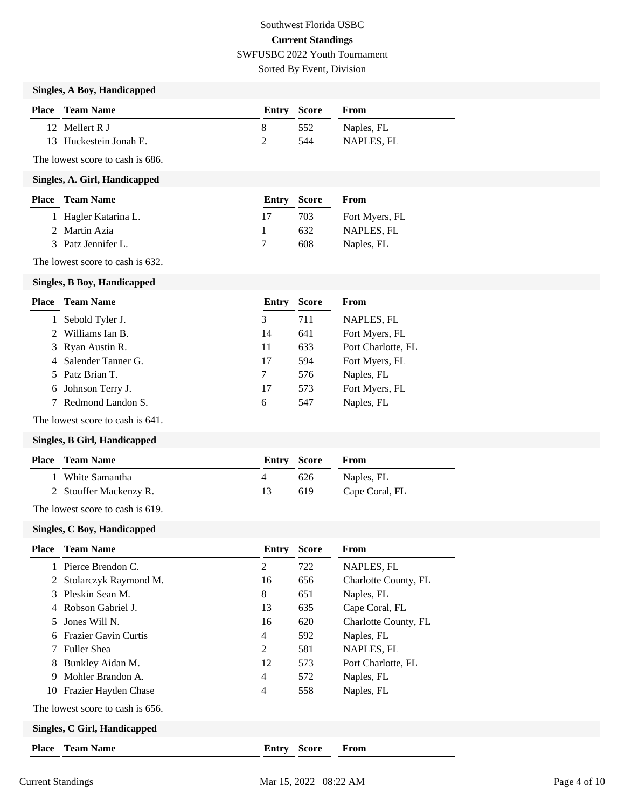Sorted By Event, Division

## **Singles, A Boy, Handicapped**

| <b>Place</b> Team Name | Entry Score |     | <b>From</b> |
|------------------------|-------------|-----|-------------|
| 12 Mellert R I         |             | 552 | Naples, FL  |
| 13 Huckestein Jonah E. |             | 544 | NAPLES, FL  |

The lowest score to cash is 686.

#### **Singles, A. Girl, Handicapped**

| <b>Place</b> Team Name | Entry Score |     | From           |
|------------------------|-------------|-----|----------------|
| 1 Hagler Katarina L.   |             | 703 | Fort Myers, FL |
| 2 Martin Azia          |             | 632 | NAPLES. FL     |
| 3 Patz Jennifer L.     |             | 608 | Naples, FL     |

The lowest score to cash is 632.

#### **Singles, B Boy, Handicapped**

| Place | <b>Team Name</b>     | Entry | <b>Score</b> | From               |
|-------|----------------------|-------|--------------|--------------------|
|       | Sebold Tyler J.      | 3     | 711          | NAPLES, FL         |
|       | Williams Ian B.      | 14    | 641          | Fort Myers, FL     |
|       | 3 Ryan Austin R.     | 11    | 633          | Port Charlotte, FL |
|       | 4 Salender Tanner G. | 17    | 594          | Fort Myers, FL     |
|       | 5 Patz Brian T.      | 7     | 576          | Naples, FL         |
|       | 6 Johnson Terry J.   | 17    | 573          | Fort Myers, FL     |
|       | 7 Redmond Landon S.  | 6     | 547          | Naples, FL         |

The lowest score to cash is 641.

## **Singles, B Girl, Handicapped**

|                                                           | Entry Score |     | <b>From</b>    |
|-----------------------------------------------------------|-------------|-----|----------------|
| 1 White Samantha                                          | 4           | 626 | Naples, FL     |
| 2 Stouffer Mackenzy R.                                    | 13.         | 619 | Cape Coral, FL |
| $\mathbf{m}$ 1 $\mathbf{m}$ 1 $\mathbf{m}$ 1 $\mathbf{m}$ |             |     |                |

The lowest score to cash is 619.

#### **Singles, C Boy, Handicapped**

| <b>Place</b>                 | <b>Team Name</b>                 | Entry          | <b>Score</b> | From                 |
|------------------------------|----------------------------------|----------------|--------------|----------------------|
|                              | Pierce Brendon C.                | 2              | 722          | NAPLES, FL           |
| 2                            | Stolarczyk Raymond M.            | 16             | 656          | Charlotte County, FL |
| 3                            | Pleskin Sean M.                  | 8              | 651          | Naples, FL           |
| 4                            | Robson Gabriel J.                | 13             | 635          | Cape Coral, FL       |
| 5.                           | Jones Will N.                    | 16             | 620          | Charlotte County, FL |
| 6                            | <b>Frazier Gavin Curtis</b>      | $\overline{4}$ | 592          | Naples, FL           |
|                              | <b>Fuller Shea</b>               | 2              | 581          | NAPLES, FL           |
| 8                            | Bunkley Aidan M.                 | 12             | 573          | Port Charlotte, FL   |
| 9                            | Mohler Brandon A.                | 4              | 572          | Naples, FL           |
|                              | 10 Frazier Hayden Chase          | $\overline{4}$ | 558          | Naples, FL           |
|                              | The lowest score to cash is 656. |                |              |                      |
| Singles, C Girl, Handicapped |                                  |                |              |                      |
| <b>Place</b>                 | <b>Team Name</b>                 | Entry          | <b>Score</b> | From                 |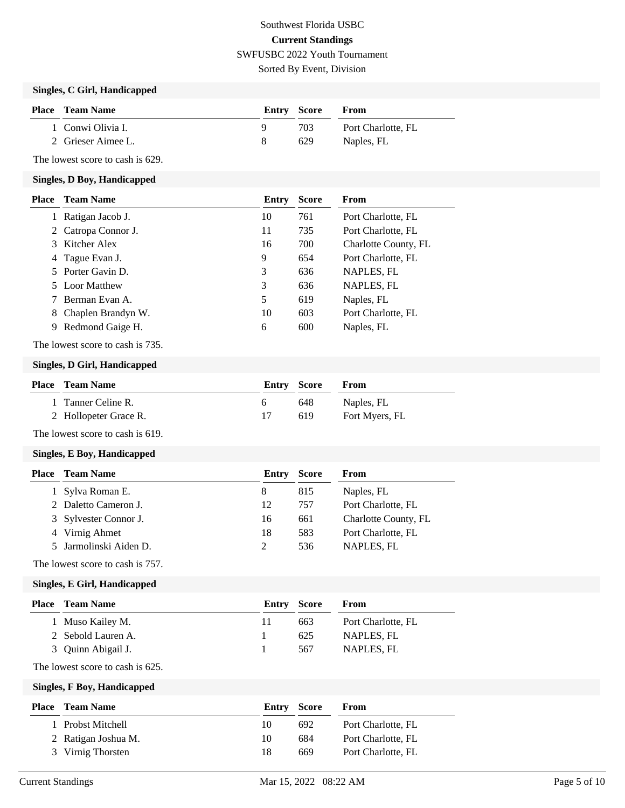Sorted By Event, Division

## **Singles, C Girl, Handicapped**

| <b>Place</b> Team Name | Entry Score |      | From               |
|------------------------|-------------|------|--------------------|
| 1 Conwi Olivia I.      |             | 703. | Port Charlotte, FL |
| 2 Grieser Aimee L.     |             | 629  | Naples, FL         |

The lowest score to cash is 629.

#### **Singles, D Boy, Handicapped**

| Place | <b>Team Name</b>    | Entry | <b>Score</b> | From                 |
|-------|---------------------|-------|--------------|----------------------|
|       | Ratigan Jacob J.    | 10    | 761          | Port Charlotte, FL   |
|       | 2 Catropa Connor J. | 11    | 735          | Port Charlotte, FL   |
|       | 3 Kitcher Alex      | 16    | 700          | Charlotte County, FL |
|       | 4 Tague Evan J.     | 9     | 654          | Port Charlotte, FL   |
|       | 5 Porter Gavin D.   | 3     | 636          | NAPLES, FL           |
|       | 5 Loor Matthew      | 3     | 636          | NAPLES, FL           |
|       | Berman Evan A.      | 5     | 619          | Naples, FL           |
| 8     | Chaplen Brandyn W.  | 10    | 603          | Port Charlotte, FL   |
| 9.    | Redmond Gaige H.    | 6     | 600          | Naples, FL           |

The lowest score to cash is 735.

## **Singles, D Girl, Handicapped**

| <b>Place</b> Team Name | Entry Score |     | From           |
|------------------------|-------------|-----|----------------|
| 1 Tanner Celine R.     | h.          | 648 | Naples, FL     |
| 2 Hollopeter Grace R.  |             | 619 | Fort Myers, FL |

The lowest score to cash is 619.

## **Singles, E Boy, Handicapped**

| <b>Place</b> Team Name | Entry | <b>Score</b> | From                 |
|------------------------|-------|--------------|----------------------|
| 1 Sylva Roman E.       | 8     | 815          | Naples, FL           |
| 2 Daletto Cameron J.   | 12    | 757          | Port Charlotte, FL   |
| 3 Sylvester Connor J.  | 16    | 661          | Charlotte County, FL |
| 4 Virnig Ahmet         | 18    | 583          | Port Charlotte, FL   |
| 5 Jarmolinski Aiden D. |       | 536          | NAPLES, FL           |
|                        |       |              |                      |

The lowest score to cash is 757.

#### **Singles, E Girl, Handicapped**

| <b>Place</b> Team Name | Entry Score |     | From               |
|------------------------|-------------|-----|--------------------|
| 1 Muso Kailey M.       | 11          | 663 | Port Charlotte, FL |
| 2 Sebold Lauren A.     |             | 625 | NAPLES, FL         |
| 3 Quinn Abigail J.     |             | 567 | NAPLES, FL         |

The lowest score to cash is 625.

**Singles, F Boy, Handicapped**

| <b>Place</b> Team Name | <b>Entry Score</b> |     | From               |
|------------------------|--------------------|-----|--------------------|
| 1 Probst Mitchell      | 10                 | 692 | Port Charlotte, FL |
| 2 Ratigan Joshua M.    | 10                 | 684 | Port Charlotte, FL |
| 3 Virnig Thorsten      | 18                 | 669 | Port Charlotte, FL |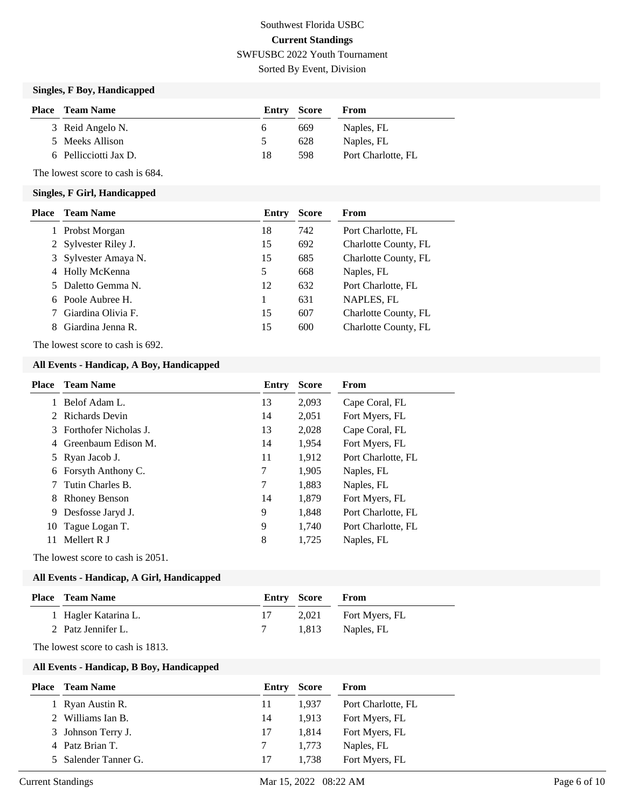## Southwest Florida USBC **Current Standings** SWFUSBC 2022 Youth Tournament Sorted By Event, Division

**Singles, F Boy, Handicapped**

| Place | Team Name             | Entry Score   |     | From               |
|-------|-----------------------|---------------|-----|--------------------|
|       | 3 Reid Angelo N.      | <sub>0</sub>  | 669 | Naples, FL         |
|       | 5 Meeks Allison       | $\mathcal{D}$ | 628 | Naples, FL         |
|       | 6 Pellicciotti Jax D. | 18            | 598 | Port Charlotte, FL |

The lowest score to cash is 684.

### **Singles, F Girl, Handicapped**

| <b>Place</b> | <b>Team Name</b>     | Entry | <b>Score</b> | <b>From</b>          |
|--------------|----------------------|-------|--------------|----------------------|
|              | Probst Morgan        | 18    | 742          | Port Charlotte, FL   |
|              | 2 Sylvester Riley J. | 15    | 692          | Charlotte County, FL |
|              | 3 Sylvester Amaya N. | 15    | 685          | Charlotte County, FL |
|              | 4 Holly McKenna      | 5     | 668          | Naples, FL           |
|              | 5 Daletto Gemma N.   | 12    | 632          | Port Charlotte, FL   |
|              | 6 Poole Aubree H.    |       | 631          | NAPLES, FL           |
|              | Giardina Olivia F.   | 15    | 607          | Charlotte County, FL |
| 8            | Giardina Jenna R.    | 15    | 600          | Charlotte County, FL |

The lowest score to cash is 692.

## **All Events - Handicap, A Boy, Handicapped**

| Place | <b>Team Name</b>      | Entry | <b>Score</b> | From               |
|-------|-----------------------|-------|--------------|--------------------|
|       | Belof Adam L.         | 13    | 2,093        | Cape Coral, FL     |
| 2     | Richards Devin        | 14    | 2,051        | Fort Myers, FL     |
| 3     | Forthofer Nicholas J. | 13    | 2,028        | Cape Coral, FL     |
| 4     | Greenbaum Edison M.   | 14    | 1.954        | Fort Myers, FL     |
|       | 5 Ryan Jacob J.       | 11    | 1,912        | Port Charlotte, FL |
| 6     | Forsyth Anthony C.    | 7     | 1,905        | Naples, FL         |
|       | Tutin Charles B.      | 7     | 1,883        | Naples, FL         |
| 8     | <b>Rhoney Benson</b>  | 14    | 1,879        | Fort Myers, FL     |
| 9     | Desfosse Jaryd J.     | 9     | 1,848        | Port Charlotte, FL |
| 10    | Tague Logan T.        | 9     | 1,740        | Port Charlotte, FL |
| 11    | Mellert R J           | 8     | 1,725        | Naples, FL         |
|       |                       |       |              |                    |

The lowest score to cash is 2051.

## **All Events - Handicap, A Girl, Handicapped**

| <b>Place – Team Name</b> | Entry Score | From                 |
|--------------------------|-------------|----------------------|
| 1 Hagler Katarina L.     |             | 2,021 Fort Myers, FL |
| 2 Patz Jennifer L.       |             | 1,813 Naples, FL     |
|                          |             |                      |

The lowest score to cash is 1813.

## **All Events - Handicap, B Boy, Handicapped**

| <b>Place</b> Team Name | Entry | <b>Score</b> | From               |
|------------------------|-------|--------------|--------------------|
| 1 Ryan Austin R.       | 11    | 1.937        | Port Charlotte, FL |
| 2 Williams Ian B.      | 14    | 1.913        | Fort Myers, FL     |
| 3 Johnson Terry J.     | 17    | 1.814        | Fort Myers, FL     |
| 4 Patz Brian T.        |       | 1.773        | Naples, FL         |
| 5 Salender Tanner G.   | 17    | 1.738        | Fort Myers, FL     |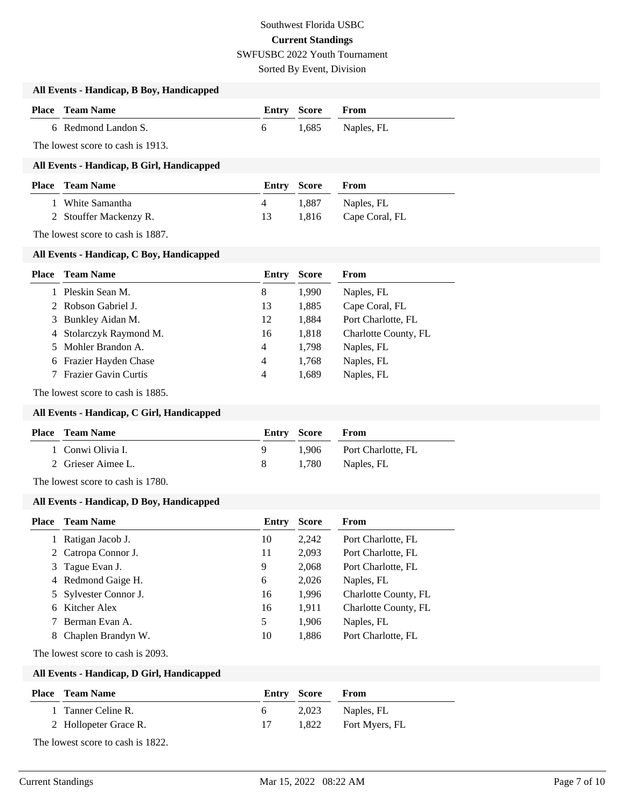Sorted By Event, Division

| All Events - Handicap, B Boy, Handicapped |  |  |  |
|-------------------------------------------|--|--|--|
|-------------------------------------------|--|--|--|

| <b>Place – Team Name</b> | <b>Entry Score From</b> |                  |
|--------------------------|-------------------------|------------------|
| 6 Redmond Landon S.      |                         | 1,685 Naples, FL |

The lowest score to cash is 1913.

## **All Events - Handicap, B Girl, Handicapped**

| <b>Place – Team Name</b> | Entry Score |       | <b>From</b>          |
|--------------------------|-------------|-------|----------------------|
| 1 White Samantha         |             | 1.887 | Naples, FL           |
| 2 Stouffer Mackenzy R.   | 13          |       | 1,816 Cape Coral, FL |

The lowest score to cash is 1887.

### **All Events - Handicap, C Boy, Handicapped**

| Place | <b>Team Name</b>        | Entry          | <b>Score</b> | From                 |
|-------|-------------------------|----------------|--------------|----------------------|
|       | 1 Pleskin Sean M.       | 8              | 1,990        | Naples, FL           |
|       | 2 Robson Gabriel J.     | 13             | 1,885        | Cape Coral, FL       |
|       | 3 Bunkley Aidan M.      | 12             | 1,884        | Port Charlotte, FL   |
|       | 4 Stolarczyk Raymond M. | 16             | 1,818        | Charlotte County, FL |
|       | 5 Mohler Brandon A.     | $\overline{4}$ | 1,798        | Naples, FL           |
|       | 6 Frazier Hayden Chase  | $\overline{4}$ | 1,768        | Naples, FL           |
|       | 7 Frazier Gavin Curtis  | 4              | 1,689        | Naples, FL           |
|       |                         |                |              |                      |

The lowest score to cash is 1885.

### **All Events - Handicap, C Girl, Handicapped**

| <b>Place</b> Team Name | <b>Entry Score From</b> |                          |
|------------------------|-------------------------|--------------------------|
| 1 Conwi Olivia I.      |                         | 1.906 Port Charlotte, FL |
| 2 Grieser Aimee L.     |                         | 1,780 Naples, FL         |

The lowest score to cash is 1780.

#### **All Events - Handicap, D Boy, Handicapped**

| Place | <b>Team Name</b>      | Entry | <b>Score</b> | From                 |
|-------|-----------------------|-------|--------------|----------------------|
|       | Ratigan Jacob J.      | 10    | 2,242        | Port Charlotte, FL   |
|       | 2 Catropa Connor J.   | 11    | 2,093        | Port Charlotte, FL   |
|       | 3 Tague Evan J.       | 9     | 2,068        | Port Charlotte, FL   |
|       | 4 Redmond Gaige H.    | 6     | 2,026        | Naples, FL           |
|       | 5 Sylvester Connor J. | 16    | 1,996        | Charlotte County, FL |
|       | 6 Kitcher Alex        | 16    | 1,911        | Charlotte County, FL |
|       | Berman Evan A.        | 5     | 1,906        | Naples, FL           |
| 8     | Chaplen Brandyn W.    | 10    | 1,886        | Port Charlotte, FL   |

The lowest score to cash is 2093.

### **All Events - Handicap, D Girl, Handicapped**

| <b>Place</b> Team Name | <b>Entry Score</b> | From                 |
|------------------------|--------------------|----------------------|
| 1 Tanner Celine R.     |                    | 2,023 Naples, FL     |
| 2 Hollopeter Grace R.  |                    | 1,822 Fort Myers, FL |

The lowest score to cash is 1822.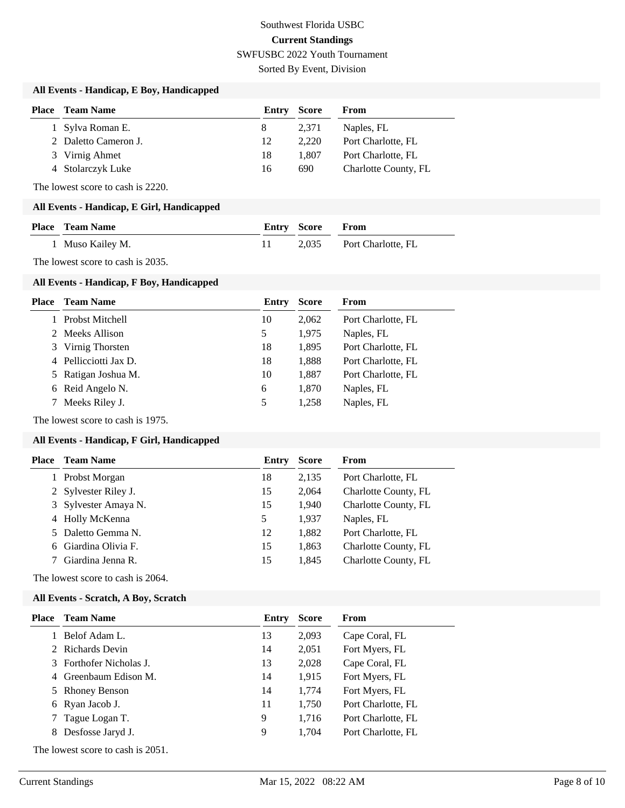Sorted By Event, Division

## **All Events - Handicap, E Boy, Handicapped**

| <b>Place</b> Team Name | Entry | <b>Score</b> | From                 |
|------------------------|-------|--------------|----------------------|
| 1 Sylva Roman E.       | 8     | 2.371        | Naples, FL           |
| 2 Daletto Cameron J.   | 12    | 2.220        | Port Charlotte, FL   |
| 3 Virnig Ahmet         | 18    | 1.807        | Port Charlotte, FL   |
| 4 Stolarczyk Luke      | 16    | 690          | Charlotte County, FL |

The lowest score to cash is 2220.

#### **All Events - Handicap, E Girl, Handicapped**

| <b>Place – Team Name</b> | <b>Entry Score From</b> |                          |
|--------------------------|-------------------------|--------------------------|
| 1 Muso Kailey M.         |                         | 2,035 Port Charlotte, FL |

The lowest score to cash is 2035.

#### **All Events - Handicap, F Boy, Handicapped**

| Place | <b>Team Name</b>      | Entry | <b>Score</b> | From               |
|-------|-----------------------|-------|--------------|--------------------|
|       | 1 Probst Mitchell     | 10    | 2,062        | Port Charlotte, FL |
|       | 2 Meeks Allison       | 5     | 1,975        | Naples, FL         |
|       | 3 Virnig Thorsten     | 18    | 1,895        | Port Charlotte, FL |
|       | 4 Pellicciotti Jax D. | 18    | 1,888        | Port Charlotte, FL |
|       | 5 Ratigan Joshua M.   | 10    | 1,887        | Port Charlotte, FL |
|       | 6 Reid Angelo N.      | 6     | 1,870        | Naples, FL         |
|       | 7 Meeks Riley J.      | 5     | 1,258        | Naples, FL         |
|       |                       |       |              |                    |

The lowest score to cash is 1975.

## **All Events - Handicap, F Girl, Handicapped**

| <b>Team Name</b>     | Entry | <b>Score</b> | From                 |
|----------------------|-------|--------------|----------------------|
| Probst Morgan        | 18    | 2,135        | Port Charlotte, FL   |
| 2 Sylvester Riley J. | 15    | 2,064        | Charlotte County, FL |
| 3 Sylvester Amaya N. | 15    | 1.940        | Charlotte County, FL |
| 4 Holly McKenna      | 5     | 1.937        | Naples, FL           |
| 5 Daletto Gemma N.   | 12    | 1,882        | Port Charlotte, FL   |
| 6 Giardina Olivia F. | 15    | 1,863        | Charlotte County, FL |
| Giardina Jenna R.    | 15    | 1.845        | Charlotte County, FL |
|                      |       |              |                      |

The lowest score to cash is 2064.

#### **All Events - Scratch, A Boy, Scratch**

| <b>Team Name</b>  | Entry                                                                                                                          | <b>Score</b> | From               |
|-------------------|--------------------------------------------------------------------------------------------------------------------------------|--------------|--------------------|
| Belof Adam L.     | 13                                                                                                                             | 2,093        | Cape Coral, FL     |
|                   | 14                                                                                                                             | 2,051        | Fort Myers, FL     |
|                   | 13                                                                                                                             | 2,028        | Cape Coral, FL     |
|                   | 14                                                                                                                             | 1,915        | Fort Myers, FL     |
|                   | 14                                                                                                                             | 1,774        | Fort Myers, FL     |
|                   | 11                                                                                                                             | 1,750        | Port Charlotte, FL |
|                   | 9                                                                                                                              | 1,716        | Port Charlotte, FL |
| Desfosse Jaryd J. | 9                                                                                                                              | 1,704        | Port Charlotte, FL |
|                   | 2 Richards Devin<br>3 Forthofer Nicholas J.<br>4 Greenbaum Edison M.<br>5 Rhoney Benson<br>6 Ryan Jacob J.<br>7 Tague Logan T. |              |                    |

The lowest score to cash is 2051.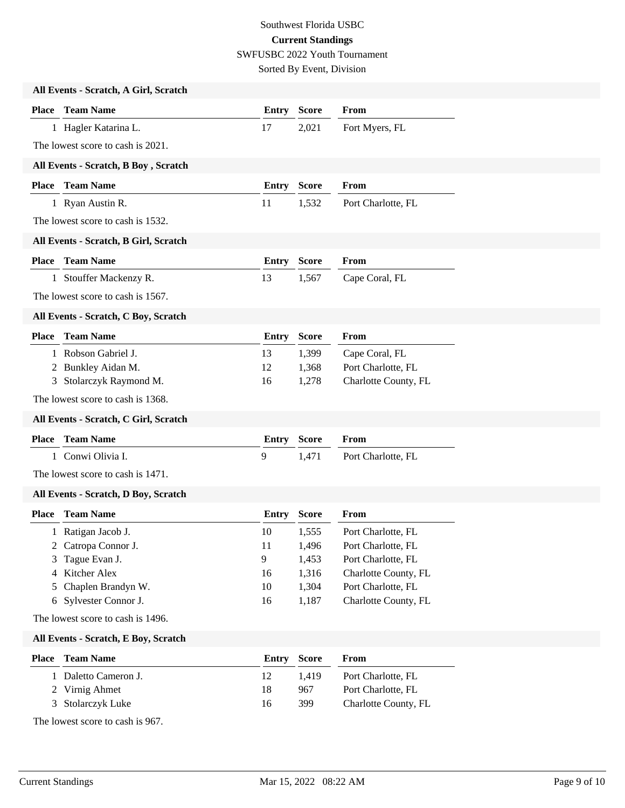Sorted By Event, Division

|              | All Events - Scratch, A Girl, Scratch |              |              |                      |
|--------------|---------------------------------------|--------------|--------------|----------------------|
|              | <b>Place</b> Team Name                | <b>Entry</b> | <b>Score</b> | From                 |
|              | 1 Hagler Katarina L.                  | 17           | 2,021        | Fort Myers, FL       |
|              | The lowest score to cash is 2021.     |              |              |                      |
|              | All Events - Scratch, B Boy, Scratch  |              |              |                      |
|              | <b>Place</b> Team Name                | <b>Entry</b> | <b>Score</b> | From                 |
|              | 1 Ryan Austin R.                      | 11           | 1,532        | Port Charlotte, FL   |
|              | The lowest score to cash is 1532.     |              |              |                      |
|              | All Events - Scratch, B Girl, Scratch |              |              |                      |
|              | <b>Place</b> Team Name                | <b>Entry</b> | <b>Score</b> | From                 |
|              | 1 Stouffer Mackenzy R.                | 13           | 1,567        | Cape Coral, FL       |
|              | The lowest score to cash is 1567.     |              |              |                      |
|              | All Events - Scratch, C Boy, Scratch  |              |              |                      |
| Place        | <b>Team Name</b>                      | <b>Entry</b> | <b>Score</b> | From                 |
|              | 1 Robson Gabriel J.                   | 13           | 1,399        | Cape Coral, FL       |
|              | 2 Bunkley Aidan M.                    | 12           | 1,368        | Port Charlotte, FL   |
| 3            | Stolarczyk Raymond M.                 | 16           | 1,278        | Charlotte County, FL |
|              | The lowest score to cash is 1368.     |              |              |                      |
|              | All Events - Scratch, C Girl, Scratch |              |              |                      |
| <b>Place</b> | <b>Team Name</b>                      | <b>Entry</b> | <b>Score</b> | From                 |
|              | 1 Conwi Olivia I.                     | 9            | 1,471        | Port Charlotte, FL   |
|              | The lowest score to cash is 1471.     |              |              |                      |
|              | All Events - Scratch, D Boy, Scratch  |              |              |                      |
|              | <b>Place</b> Team Name                | Entry        | <b>Score</b> | From                 |
|              | 1 Ratigan Jacob J.                    | 10           | 1,555        | Port Charlotte, FL   |
|              | 2 Catropa Connor J.                   | 11           | 1,496        | Port Charlotte, FL   |
| 3            | Tague Evan J.                         | 9            | 1,453        | Port Charlotte, FL   |
| 4            | Kitcher Alex                          | 16           | 1,316        | Charlotte County, FL |
| 5            | Chaplen Brandyn W.                    | 10           | 1,304        | Port Charlotte, FL   |
|              | 6 Sylvester Connor J.                 | 16           | 1,187        | Charlotte County, FL |
|              | The lowest score to cash is 1496.     |              |              |                      |
|              | All Events - Scratch, E Boy, Scratch  |              |              |                      |
| <b>Place</b> | <b>Team Name</b>                      | <b>Entry</b> | <b>Score</b> | From                 |
|              | 1 Daletto Cameron J.                  | 12           | 1,419        | Port Charlotte, FL   |
|              | 2 Virnig Ahmet                        | 18           | 967          | Port Charlotte, FL   |
| 3            | Stolarczyk Luke                       | 16           | 399          | Charlotte County, FL |
|              | The lowest score to cash is 967.      |              |              |                      |
|              |                                       |              |              |                      |